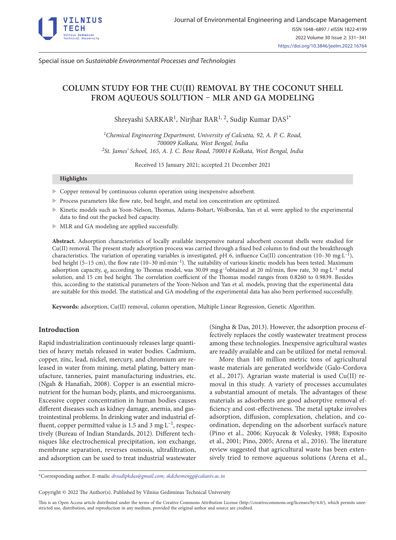

Special issue on *Sustainable Environmental Processes and Technologies*

# **COLUMN STUDY FOR THE CU(II) REMOVAL BY THE COCONUT SHELL FROM AQUEOUS SOLUTION** – **MLR AND GA MODELING**

Shreyashi SARKAR<sup>1</sup>, Nirjhar BAR<sup>1, 2</sup>, Sudip Kumar DAS<sup>1\*</sup>

*1Chemical Engineering Department, University of Calcutta, 92, A. P. C. Road, 700009 Kolkata, West Bengal, India 2St. James' School, 165, A. J. C. Bose Road, 700014 Kolkata, West Bengal, India*

Received 15 January 2021; accepted 21 December 2021

## **Highlights**

- $\blacktriangleright$  Copper removal by continuous column operation using inexpensive adsorbent.
- X Process parameters like flow rate, bed height, and metal ion concentration are optimized.
- Xinetic models such as Yoon-Nelson, Thomas, Adams-Bohart, Wolborska, Yan et al. were applied to the experimental data to find out the packed bed capacity.
- $\blacktriangleright$  MLR and GA modeling are applied successfully.

**Abstract.** Adsorption characteristics of locally available inexpensive natural adsorbent coconut shells were studied for Cu(II) removal. The present study adsorption process was carried through a fixed bed column to find out the breakthrough characteristics. The variation of operating variables is investigated, pH 6, influence Cu(II) concentration (10–30 mg·L<sup>-1</sup>), bed height (5–15 cm), the flow rate (10–30 ml·min–1). The suitability of various kinetic models has been tested. Maximum adsorption capacity,  $q_e$  according to Thomas model, was 30.09 mg·g<sup>-1</sup>obtained at 20 ml/min, flow rate, 30 mg·L<sup>-1</sup> metal solution, and 15 cm bed height. The correlation coefficient of the Thomas model ranges from 0.8260 to 0.9839. Besides this, according to the statistical parameters of the Yoon-Nelson and Yan et al. models, proving that the experimental data are suitable for this model. The statistical and GA modeling of the experimental data has also been performed successfully.

**Keywords:** adsorption, Cu(II) removal, column operation, Multiple Linear Regression, Genetic Algorithm.

## **Introduction**

Rapid industrialization continuously releases large quantities of heavy metals released in water bodies. Cadmium, copper, zinc, lead, nickel, mercury, and chromium are released in water from mining, metal plating, battery manufacture, tanneries, paint manufacturing industries, etc. (Ngah & Hanafiah, 2008). Copper is an essential micronutrient for the human body, plants, and microorganisms. Excessive copper concentration in human bodies causes different diseases such as kidney damage, anemia, and gastrointestinal problems. In drinking water and industrial effluent, copper permitted value is 1.5 and 3 mg $L^{-1}$ , respectively (Bureau of Indian Standards, 2012). Different techniques like electrochemical precipitation, ion exchange, membrane separation, reverses osmosis, ultrafiltration, and adsorption can be used to treat industrial wastewater (Singha & Das, 2013). However, the adsorption process effectively replaces the costly wastewater treatment process among these technologies. Inexpensive agricultural wastes are readily available and can be utilized for metal removal.

More than 140 million metric tons of agricultural waste materials are generated worldwide (Galo-Cordova et al., 2017). Agrarian waste material is used Cu(II) removal in this study. A variety of processes accumulates a substantial amount of metals. The advantages of these materials as adsorbents are good adsorptive removal efficiency and cost-effectiveness. The metal uptake involves adsorption, diffusion, complexation, chelation, and coordination, depending on the adsorbent surface's nature (Pino et al., 2006; Kuyucak & Volesky, 1988; Esposito et al., 2001; Pino, 2005; Arena et al., 2016). The literature review suggested that agricultural waste has been extensively tried to remove aqueous solutions (Arena et al.,

\*Corresponding author. E-mails: *drsudipkdas@gmail.com; [skdchemengg@caluniv.ac.in](mailto:skdchemengg@caluniv.ac.in)*

Copyright © 2022 The Author(s). Published by Vilnius Gediminas Technical University

This is an Open Access article distributed under the terms of the Creative Commons Attribution License (<http://creativecommons.org/licenses/by/4.0/>), which permits unrestricted use, distribution, and reproduction in any medium, provided the original author and source are credited.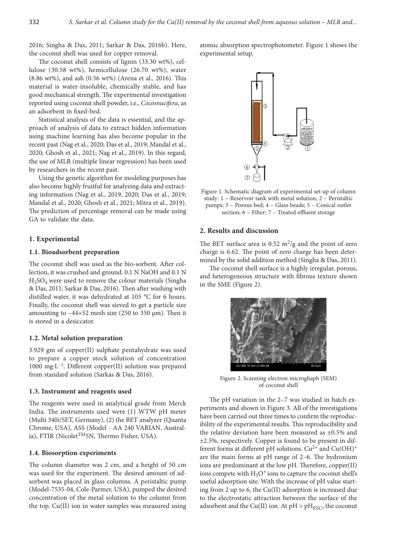2016; Singha & Das, 2011; Sarkar & Das, 2016b). Here, the coconut shell was used for copper removal.

The coconut shell consists of lignin (33.30 wt%), cellulose (30.58 wt%), hemicellulose (26.70 wt%), water (8.86 wt%), and ash (0.56 wt%) (Arena et al., 2016). This material is water-insoluble, chemically stable, and has good mechanical strength. The experimental investigation reported using coconut shell powder, i.e., *Cocosnucifera*, as an adsorbent in fixed-bed.

Statistical analysis of the data is essential, and the approach of analysis of data to extract hidden information using machine learning has also become popular in the recent past (Nag et al., 2020; Das et al., 2019; Mandal et al., 2020; Ghosh et al., 2021; Nag et al., 2019). In this regard, the use of MLR (multiple linear regression) has been used by researchers in the recent past.

Using the genetic algorithm for modeling purposes has also become highly fruitful for analyzing data and extracting information (Nag et al., 2019, 2020; Das et al., 2019; Mandal et al., 2020; Ghosh et al., 2021; Mitra et al., 2019). The prediction of percentage removal can be made using GA to validate the data.

### **1. Experimental**

## **1.1. Bioadsorbent preparation**

The coconut shell was used as the bio-sorbent. After collection, it was crushed and ground. 0.1 N NaOH and 0.1 N  $H<sub>2</sub>SO<sub>4</sub>$  were used to remove the colour materials (Singha & Das, 2011; Sarkar & Das, 2016). Then after washing with distilled water, it was dehydrated at 105 °C for 6 hours. Finally, the coconut shell was sieved to get a particle size amounting to  $-44+52$  mesh size (250 to 350  $\mu$ m). Then it is stored in a desiccator.

#### **1.2. Metal solution preparation**

3.929 gm of copper(II) sulphate pentahydrate was used to prepare a copper stock solution of concentration 1000 mg·L<sup>-1</sup>. Different copper(II) solution was prepared from standard solution (Sarkas & Das, 2016).

#### **1.3. Instrument and reagents used**

The reagents were used in analytical grade from Merck India. The instruments used were (1) WTW pH meter (Multi 340i/SET, Germany), (2) the BET analyzer (Quanta Chrome, USA), ASS (Model - AA 240 VARIAN, Australia), FTIR (Nicolet<sup>TM</sup>5N, Thermo Fisher, USA).

#### **1.4. Biosorption experiments**

The column diameter was 2 cm, and a height of 50 cm was used for the experiment. The desired amount of adsorbent was placed in glass columns. A peristaltic pump (Model-7535-04, Cole-Parmer, USA), pumped the desired concentration of the metal solution to the column from the top. Cu(II) ion in water samples was measured using atomic absorption spectrophotometer. Figure 1 shows the experimental setup.



Figure 1. Schematic diagram of experimental set up of column study: 1 – Reservoir tank with metal solution; 2 – Peristaltic pumps; 3 – Porous bed; 4 – Glass beads; 5 – Conical outlet section; 6 – Filter; 7 – Treated effluent storage

### **2. Results and discussion**

The BET surface area is  $0.52 \text{ m}^2/\text{g}$  and the point of zero charge is 6.62. The point of zero charge has been determined by the solid addition method (Singha & Das, 2011).

The coconut shell surface is a highly irregular, porous, and heterogeneous structure with fibrous texture shown in the SME (Figure 2).



Figure 2. Scanning electron microghaph (SEM) of coconut shell

The pH variation in the 2–7 was studied in batch experiments and shown in Figure 3. All of the investigations have been carried out three times to confirm the reproducibility of the experimental results. This reproducibility and the relative deviation have been measured as  $\pm 0.5$ % and ±2.5%, respectively. Copper is found to be present in different forms at different pH solutions.  $Cu^{2+}$  and  $Cu(OH)^{+}$ are the main forms at pH range of 2–6. The hydronium ions are predominant at the low pH. Therefore, copper(II) ions compete with  $H_3O^+$  ions to capture the coconut shell's useful adsorption site. With the increase of pH value starting from 2 up to 6, the Cu(II) adsorption is increased due to the electrostatic attraction between the surface of the adsorbent and the Cu(II) ion. At  $pH > pH_{PZC}$ , the coconut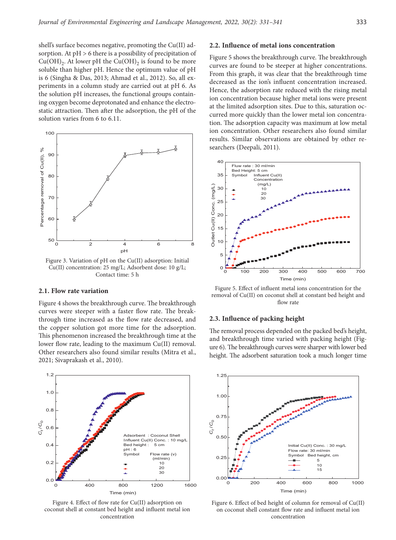shell's surface becomes negative, promoting the Cu(II) adsorption. At  $pH > 6$  there is a possibility of precipitation of  $Cu(OH)_{2}$ . At lower pH the Cu(OH)<sub>2</sub> is found to be more soluble than higher pH. Hence the optimum value of pH is 6 (Singha & Das, 2013; Ahmad et al., 2012). So, all experiments in a column study are carried out at pH 6. As the solution pH increases, the functional groups containing oxygen become deprotonated and enhance the electrostatic attraction. Then after the adsorption, the pH of the solution varies from 6 to 6.11.



Figure 3. Variation of pH on the Cu(II) adsorption: Initial Cu(II) concentration: 25 mg/L; Adsorbent dose: 10 g/L; Contact time: 5 h

#### **2.1. Flow rate variation**

Figure 4 shows the breakthrough curve. The breakthrough curves were steeper with a faster flow rate. The breakthrough time increased as the flow rate decreased, and the copper solution got more time for the adsorption. This phenomenon increased the breakthrough time at the lower flow rate, leading to the maximum Cu(II) removal. Other researchers also found similar results (Mitra et al., 2021; Sivaprakash et al., 2010).



Figure 4. Effect of flow rate for Cu(II) adsorption on coconut shell at constant bed height and influent metal ion concentration

## **2.2. Influence of metal ions concentration**

Figure 5 shows the breakthrough curve. The breakthrough curves are found to be steeper at higher concentrations. From this graph, it was clear that the breakthrough time decreased as the ion's influent concentration increased. Hence, the adsorption rate reduced with the rising metal ion concentration because higher metal ions were present at the limited adsorption sites. Due to this, saturation occurred more quickly than the lower metal ion concentration. The adsorption capacity was maximum at low metal ion concentration. Other researchers also found similar results. Similar observations are obtained by other researchers (Deepali, 2011).



Figure 5. Effect of influent metal ions concentration for the removal of Cu(II) on coconut shell at constant bed height and flow rate

### **2.3. Influence of packing height**

The removal process depended on the packed bed's height, and breakthrough time varied with packing height (Figure 6). The breakthrough curves were sharper with lower bed height. The adsorbent saturation took a much longer time



Figure 6. Effect of bed height of column for removal of Cu(II) on coconut shell constant flow rate and influent metal ion concentration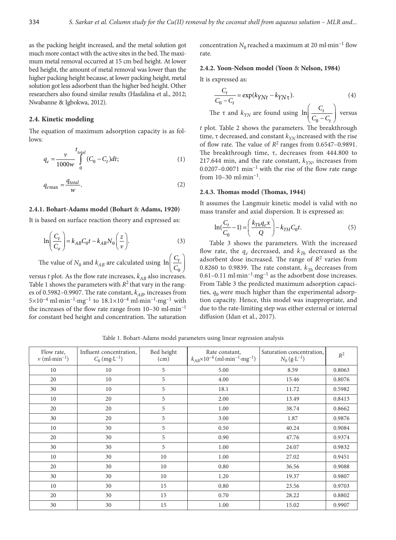as the packing height increased, and the metal solution got much more contact with the active sites in the bed. The maximum metal removal occurred at 15 cm bed height. At lower bed height, the amount of metal removal was lower than the higher packing height because, at lower packing height, metal solution got less adsorbent than the higher bed height. Other researchers also found similar results (Hasfalina et al., 2012; Nwabanne & Igbokwa, 2012).

## **2.4. Kinetic modeling**

The equation of maximum adsorption capacity is as follows:

$$
q_e = \frac{v}{1000w} \int_{0}^{t_{total}} (C_0 - C_t) dt; \tag{1}
$$

$$
q_{e\max} = \frac{q_{total}}{w}.\tag{2}
$$

#### **2.4.1. Bohart-Adams model (Bohart** & **Adams, 1920)**

It is based on surface reaction theory and expressed as:

$$
\ln\left(\frac{C_t}{C_o}\right) = k_{AB}C_0t - k_{AB}N_0\left(\frac{z}{\nu}\right).
$$
 (3)

The value of  $N_0$  and  $k_{AB}$  are calculated using  $\ln\left(\frac{C_t}{C_0}\right)$ 

0 versus *t* plot. As the flow rate increases,  $k_{AB}$  also increases. Table 1 shows the parameters with  $R^2$  that vary in the ranges of 0.5982–0.9907. The rate constant,  $k_{AB}$ , increases from  $5 \times 10^{-4}$  ml·min<sup>-1</sup>·mg<sup>-1</sup> to  $18.1 \times 10^{-4}$  ml·min<sup>-1</sup>·mg<sup>-1</sup> with the increases of the flow rate range from 10–30 ml·min–1 for constant bed height and concentration. The saturation concentration  $N_0$  reached a maximum at 20 ml·min<sup>-1</sup> flow rate.

#### **2.4.2. Yoon-Nelson model (Yoon** & **Nelson, 1984)**

It is expressed as:

$$
\frac{C_t}{C_0 - C_t} = \exp(k_{\text{YN}t} - k_{\text{YN}t}).\tag{4}
$$

The  $\tau$  and  $k_{YN}$  are found using 0  $\ln\left|\frac{C_i}{C_i}\right|$ *t*  $\left(\frac{C_t}{C_0-C_t}\right)$ versus

*t* plot. Table 2 shows the parameters. The breakthrough time,  $\tau$  decreased, and constant  $k_{YN}$  increased with the rise of flow rate. The value of *R*2 ranges from 0.6547–0.9891. The breakthrough time, τ, decreases from 444.800 to 217.644 min, and the rate constant,  $k_{YN}$  increases from  $0.0207 - 0.0071$  min<sup>-1</sup> with the rise of the flow rate range from  $10-30$  ml $\cdot$ min<sup>-1</sup>.

#### **2.4.3. Thomas model (Thomas, 1944)**

It assumes the Langmuir kinetic model is valid with no mass transfer and axial dispersion. It is expressed as:

$$
\ln(\frac{C_t}{C_0} - 1) = \left(\frac{k_{Th}q_e x}{Q}\right) - k_{TH}C_0 t.
$$
 (5)

Table 3 shows the parameters. With the increased flow rate, the  $q_e$  decreased, and  $k_{Th}$  decreased as the adsorbent dose increased. The range of *R*2 varies from 0.8260 to 0.9839. The rate constant,  $k_{Th}$  decreases from 0.61–0.11 ml·min–1·mg–1 as the adsorbent dose increases. From Table 3 the predicted maximum adsorption capacities,  $q_0$  were much higher than the experimental adsorption capacity. Hence, this model was inappropriate, and due to the rate-limiting step was either external or internal diffusion (Idan et al., 2017).

Table 1. Bohart-Adams model parameters using linear regression analysis

| Flow rate,<br>$\nu$ (ml·min <sup>-1</sup> ) | Influent concentration,<br>$C_0$ (mg·L <sup>-1</sup> ) | Bed height<br>(cm) | Rate constant,<br>$k_{AB} \times 10^{-4}$ (ml·min <sup>-1</sup> ·mg <sup>-1</sup> ) | Saturation concentration,<br>$N_0$ (g·L <sup>-1</sup> ) | $\mathbb{R}^2$ |
|---------------------------------------------|--------------------------------------------------------|--------------------|-------------------------------------------------------------------------------------|---------------------------------------------------------|----------------|
| 10                                          | 10                                                     | 5                  | 5.00                                                                                | 8.59                                                    | 0.8063         |
| 20                                          | 10                                                     | 5                  | 4.00                                                                                | 15.46                                                   | 0.8076         |
| 30                                          | 10                                                     | 5                  | 18.1                                                                                | 11.72                                                   | 0.5982         |
| 10                                          | 20                                                     | 5                  | 2.00                                                                                | 13.49                                                   | 0.8413         |
| 20                                          | 20                                                     | 5                  | 1.00                                                                                | 38.74                                                   | 0.8662         |
| 30                                          | 20                                                     | 5                  | 3.00                                                                                | 1.87                                                    | 0.9876         |
| 10                                          | 30                                                     | 5                  | 0.50                                                                                | 40.24                                                   | 0.9084         |
| 20                                          | 30                                                     | 5                  | 0.90                                                                                | 47.76                                                   | 0.9374         |
| 30                                          | 30                                                     | 5                  | 1.00                                                                                | 24.07                                                   | 0.9832         |
| 10                                          | 30                                                     | 10                 | 1.00                                                                                | 27.02                                                   | 0.9451         |
| 20                                          | 30                                                     | 10                 | 0.80                                                                                | 36.56                                                   | 0.9088         |
| 30                                          | 30                                                     | 10                 | 1.20                                                                                | 19.37                                                   | 0.9807         |
| 10                                          | 30                                                     | 15                 | 0.80                                                                                | 23.56                                                   | 0.9703         |
| 20                                          | 30                                                     | 15                 | 0.70                                                                                | 28.22                                                   | 0.8802         |
| 30                                          | 30                                                     | 15                 | 1.00                                                                                | 15.02                                                   | 0.9907         |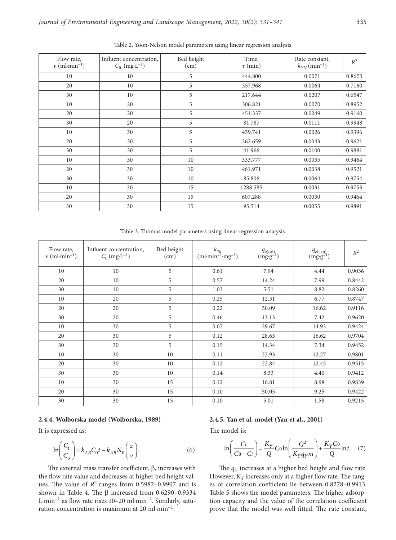| Flow rate,<br>$\nu$ (ml·min <sup>-1</sup> ) | Influent concentration,<br>$C_0$ (mg·L <sup>-1</sup> ) | Bed height<br>(cm) | Time,<br>$\tau$ (min) | Rate constant,<br>$k_{YN}$ (min <sup>-1</sup> ) | $R^2$  |
|---------------------------------------------|--------------------------------------------------------|--------------------|-----------------------|-------------------------------------------------|--------|
| 10                                          | 10                                                     | 5                  | 444.800               | 0.0071                                          | 0.8673 |
| 20                                          | 10                                                     | 5                  | 357.968               | 0.0064                                          | 0.7160 |
| 30                                          | 10                                                     | 5                  | 217.644               | 0.0207                                          | 0.6547 |
| 10                                          | 20                                                     | 5                  | 306.821               | 0.0070                                          | 0.8952 |
| 20                                          | 20                                                     | 5                  | 451.337               | 0.0049                                          | 0.9160 |
| 30                                          | 20                                                     | 5                  | 81.787                | 0.0111                                          | 0.9948 |
| 10                                          | 30                                                     | 5                  | 439.741               | 0.0026                                          | 0.9396 |
| 20                                          | 30                                                     | 5                  | 262.659               | 0.0043                                          | 0.9621 |
| 30                                          | 30                                                     | 5                  | 41.966                | 0.0100                                          | 0.9881 |
| 10                                          | 30                                                     | 10                 | 333.777               | 0.0035                                          | 0.9464 |
| 20                                          | 30                                                     | 10                 | 461.971               | 0.0038                                          | 0.9521 |
| 30                                          | 30                                                     | 10                 | 85.806                | 0.0064                                          | 0.9754 |
| 10                                          | 30                                                     | 15                 | 1288.585              | 0.0031                                          | 0.9753 |
| 20                                          | 30                                                     | 15                 | 607.288               | 0.0030                                          | 0.9464 |
| 30                                          | 30                                                     | 15                 | 95.514                | 0.0055                                          | 0.9891 |

Table 2. Yoon-Nelson model parameters using linear regression analysis

Table 3. Thomas model parameters using linear regression analysis

| Flow rate,<br>$\nu$ (ml·min <sup>-1</sup> ) | Influent concentration,<br>$C_0$ (mg·L <sup>-1</sup> ) | Bed height<br>(cm) | $k_{\mathcal{T}_n}$ (ml·min <sup>-1</sup> ·mg <sup>-1</sup> ) | $q_{e(\mathrm{cal})} \def\Gx{\Xi}(\mathrm{mg} \cdot \mathrm{g}^{-1})$ | $q_{e(\exp)} \def\Gx{\Xi}(\mathfrak{g}\mathfrak{g}^{-1})$ | $\mathbb{R}^2$ |
|---------------------------------------------|--------------------------------------------------------|--------------------|---------------------------------------------------------------|-----------------------------------------------------------------------|-----------------------------------------------------------|----------------|
| 10                                          | 10                                                     | 5                  | 0.61                                                          | 7.94                                                                  | 4.44                                                      | 0.9036         |
| 20                                          | 10                                                     | 5                  | 0.57                                                          | 14.24                                                                 | 7.99                                                      | 0.8442         |
| 30                                          | 10                                                     | 5                  | 1.03                                                          | 5.51                                                                  | 8.82                                                      | 0.8260         |
| 10                                          | 20                                                     | 5                  | 0.25                                                          | 12.31                                                                 | 6.77                                                      | 0.8747         |
| 20                                          | 20                                                     | 5                  | 0.22                                                          | 30.09                                                                 | 16.62                                                     | 0.9116         |
| 30                                          | 20                                                     | 5                  | 0.46                                                          | 13.13                                                                 | 7.42                                                      | 0.9620         |
| 10                                          | 30                                                     | 5                  | 0.07                                                          | 29.67                                                                 | 14.93                                                     | 0.9424         |
| 20                                          | 30                                                     | 5                  | 0.12                                                          | 28.63                                                                 | 16.62                                                     | 0.9704         |
| 30                                          | 30                                                     | 5                  | 0.15                                                          | 14.34                                                                 | 7.34                                                      | 0.9452         |
| 10                                          | 30                                                     | 10                 | 0.11                                                          | 22.93                                                                 | 12.27                                                     | 0.9801         |
| 20                                          | 30                                                     | 10                 | 0.12                                                          | 22.84                                                                 | 12.45                                                     | 0.9515         |
| 30                                          | 30                                                     | 10                 | 0.14                                                          | 8.33                                                                  | 4.40                                                      | 0.9412         |
| 10                                          | 30                                                     | 15                 | 0.12                                                          | 16.81                                                                 | 8.98                                                      | 0.9839         |
| 20                                          | 30                                                     | 15                 | 0.10                                                          | 50.05                                                                 | 9.25                                                      | 0.9422         |
| 30                                          | 30                                                     | 15                 | 0.10                                                          | 5.01                                                                  | 1.58                                                      | 0.9215         |

### **2.4.4. Wolborska model (Wolborska, 1989)**

It is expressed as:

$$
\ln\left(\frac{C_t}{C_o}\right) = k_{AB}C_0t - k_{AB}N_0\left(\frac{z}{\nu}\right).
$$
 (6)

The external mass transfer coefficient, β, increases with the flow rate value and decreases at higher bed height values. The value of  $R^2$  ranges from 0.5982-0.9907 and is shown in Table 4. The β increased from  $0.6290 - 0.9334$ L·min–1 as flow rate rises 10–20 ml·min–1. Similarly, saturation concentration is maximum at 20 ml·min–1.

## **2.4.5. Yan et al. model (Yan et al., 2001)**

The model is:

$$
\ln\left(\frac{Ct}{C_0 - Ct}\right) = \frac{K_Y}{Q} \cdot \text{Coln}\left(\frac{Q^2}{K_Y q_Y m}\right) + \frac{K_Y C_0}{Q} \ln t. \quad (7)
$$

The *qY* increases at a higher bed height and flow rate. However,  $K_Y$  increases only at a higher flow rate. The ranges of correlation coefficient lie between 0.8278–0.9913. Table 5 shows the model parameters. The higher adsorption capacity and the value of the correlation coefficient prove that the model was well fitted. The rate constant,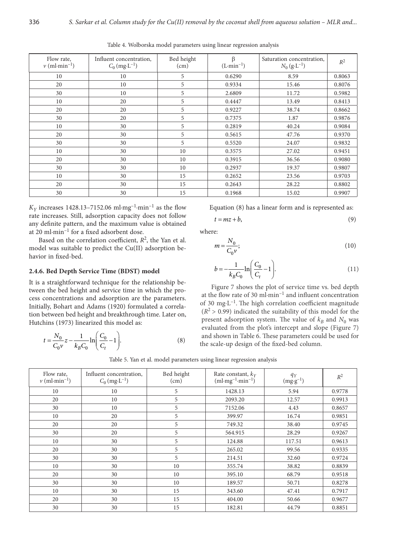| Flow rate,<br>$\nu$ (ml·min <sup>-1</sup> ) | Influent concentration,<br>$C_0$ (mg·L <sup>-1</sup> ) | Bed height<br>(cm) | $\beta$<br>$(L \cdot \text{min}^{-1})$ | Saturation concentration,<br>$N_0$ (g·L <sup>-1</sup> ) | $\mathbb{R}^2$ |
|---------------------------------------------|--------------------------------------------------------|--------------------|----------------------------------------|---------------------------------------------------------|----------------|
| 10                                          | 10                                                     | 5                  | 0.6290                                 | 8.59                                                    | 0.8063         |
| 20                                          | 10                                                     | 5                  | 0.9334                                 | 15.46                                                   | 0.8076         |
| 30                                          | 10                                                     | 5                  | 2.6809                                 | 11.72                                                   | 0.5982         |
| 10                                          | 20                                                     | 5                  | 0.4447                                 | 13.49                                                   | 0.8413         |
| 20                                          | 20                                                     | 5                  | 0.9227                                 | 38.74                                                   | 0.8662         |
| 30                                          | 20                                                     | 5                  | 0.7375                                 | 1.87                                                    | 0.9876         |
| 10                                          | 30                                                     | 5                  | 0.2819                                 | 40.24                                                   | 0.9084         |
| 20                                          | 30                                                     | 5                  | 0.5615                                 | 47.76                                                   | 0.9370         |
| 30                                          | 30                                                     | 5                  | 0.5520                                 | 24.07                                                   | 0.9832         |
| 10                                          | 30                                                     | 10                 | 0.3575                                 | 27.02                                                   | 0.9451         |
| 20                                          | 30                                                     | 10                 | 0.3915                                 | 36.56                                                   | 0.9080         |
| 30                                          | 30                                                     | 10                 | 0.2937                                 | 19.37                                                   | 0.9807         |
| 10                                          | 30                                                     | 15                 | 0.2652                                 | 23.56                                                   | 0.9703         |
| 20                                          | 30                                                     | 15                 | 0.2643                                 | 28.22                                                   | 0.8802         |
| 30                                          | 30                                                     | 15                 | 0.1968                                 | 15.02                                                   | 0.9907         |

Table 4. Wolborska model parameters using linear regression analysis

 $K<sub>Y</sub>$  increases 1428.13–7152.06 ml·mg<sup>-1</sup>·min<sup>-1</sup> as the flow rate increases. Still, adsorption capacity does not follow any definite pattern, and the maximum value is obtained at 20 ml·min–1 for a fixed adsorbent dose.

Based on the correlation coefficient,  $R^2$ , the Yan et al. model was suitable to predict the Cu(II) adsorption behavior in fixed-bed.

### **2.4.6. Bed Depth Service Time (BDST) model**

It is a straightforward technique for the relationship between the bed height and service time in which the process concentrations and adsorption are the parameters. Initially, Bohart and Adams (1920) formulated a correlation between bed height and breakthrough time. Later on, Hutchins (1973) linearized this model as:

$$
t = \frac{N_0}{C_0 \nu} z - \frac{1}{k_B C_0} \ln \left( \frac{C_0}{C_t} - 1 \right).
$$
 (8)

Equation (8) has a linear form and is represented as:

$$
t = mz + b,\tag{9}
$$

where:

$$
m = \frac{N_0}{C_0 \nu};\tag{10}
$$

$$
b = -\frac{1}{k_B C_0} \ln \left( \frac{C_0}{C_t} - 1 \right).
$$
 (11)

Figure 7 shows the plot of service time vs. bed depth at the flow rate of 30 ml·min–1 and influent concentration of 30 mg·L–1 . The high correlation coefficient magnitude  $(R<sup>2</sup> > 0.99)$  indicated the suitability of this model for the present adsorption system. The value of  $k_B$  and  $N_0$  was evaluated from the plot's intercept and slope (Figure 7) and shown in Table 6. These parameters could be used for the scale-up design of the fixed-bed column.

Table 5. Yan et al. model parameters using linear regression analysis

| Flow rate,<br>$\nu$ (ml·min <sup>-1</sup> ) | Influent concentration,<br>$C_0$ (mg·L <sup>-1</sup> ) | Bed height<br>(cm) | Rate constant, $k_y$<br>$(ml·mg-1·min-1)$ | $q_Y$<br>$(mg \cdot g^{-1})$ | $R^2$  |
|---------------------------------------------|--------------------------------------------------------|--------------------|-------------------------------------------|------------------------------|--------|
| 10                                          | 10                                                     | 5                  | 1428.13                                   | 5.94                         | 0.9778 |
| 20                                          | 10                                                     | 5                  | 2093.20                                   | 12.57                        | 0.9913 |
| 30                                          | 10                                                     | 5                  | 7152.06                                   | 4.43                         | 0.8657 |
| 10                                          | 20                                                     | 5                  | 399.97                                    | 16.74                        | 0.9851 |
| 20                                          | 20                                                     | 5                  | 749.32                                    | 38.40                        | 0.9745 |
| 30                                          | 20                                                     | 5                  | 564.915                                   | 28.29                        | 0.9267 |
| 10                                          | 30                                                     | 5                  | 124.88                                    | 117.51                       | 0.9613 |
| 20                                          | 30                                                     | 5                  | 265.02                                    | 99.56                        | 0.9335 |
| 30                                          | 30                                                     | 5                  | 214.51                                    | 32.60                        | 0.9724 |
| 10                                          | 30                                                     | 10                 | 355.74                                    | 38.82                        | 0.8839 |
| 20                                          | 30                                                     | 10                 | 395.10                                    | 68.79                        | 0.9518 |
| 30                                          | 30                                                     | 10                 | 189.57                                    | 50.71                        | 0.8278 |
| 10                                          | 30                                                     | 15                 | 343.60                                    | 47.41                        | 0.7917 |
| 20                                          | 30                                                     | 15                 | 404.00                                    | 50.66                        | 0.9677 |
| 30                                          | 30                                                     | 15                 | 182.81                                    | 44.79                        | 0.8851 |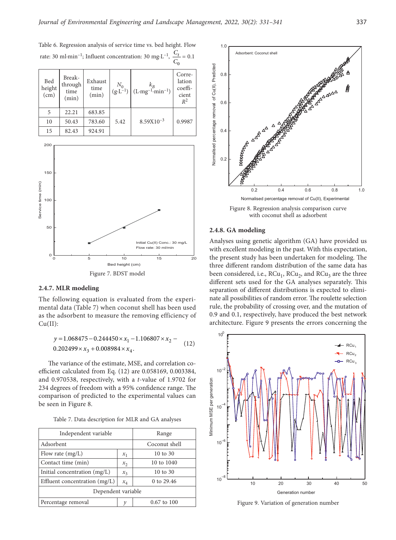Table 6. Regression analysis of service time vs. bed height. Flow rate: 30 ml·min<sup>-1</sup>; Influent concentration: 30 mg·L<sup>-1</sup>,  $\frac{C_t}{C_t}$ 0  $\frac{C_t}{C_0} = 0.1$ 

| Bed<br>height<br>(cm) | Break-<br>through<br>time<br>(min) | Exhaust<br>time<br>(min) | $\begin{array}{c} N_0 \\ (\mathrm{g}\cdot \mathrm{L}^{-1}) \end{array}$ | $k_{R}$<br>$(L·mg-1·min-1)$ | Corre-<br>lation<br>coeffi-<br>cient<br>$R^2$ |
|-----------------------|------------------------------------|--------------------------|-------------------------------------------------------------------------|-----------------------------|-----------------------------------------------|
| 5                     | 22.21                              | 683.85                   |                                                                         |                             |                                               |
| 10                    | 50.43                              | 783.60                   | 5.42                                                                    | $8.59X10^{-3}$              | 0.9987                                        |
| 15                    | 82.43                              | 924.91                   |                                                                         |                             |                                               |



#### **2.4.7. MLR modeling**

The following equation is evaluated from the experimental data (Table 7) when coconut shell has been used as the adsorbent to measure the removing efficiency of  $Cu(II):$ 

$$
y = 1.068475 - 0.244450 \times x_1 - 1.106807 \times x_2 -
$$
  
0.202499 \times x\_3 + 0.008984 \times x\_4. (12)

The variance of the estimate, MSE, and correlation coefficient calculated from Eq. (12) are 0.058169, 0.003384, and 0.970538, respectively, with a *t*-value of 1.9702 for 234 degrees of freedom with a 95% confidence range. The comparison of predicted to the experimental values can be seen in Figure 8.

Table 7. Data description for MLR and GA analyses

| Independent variable                     | Range         |                     |
|------------------------------------------|---------------|---------------------|
| Adsorbent                                | Coconut shell |                     |
| Flow rate $(mg/L)$                       | $x_1$         | $10 \text{ to } 30$ |
| Contact time (min)                       | $x_2$         | 10 to 1040          |
| Initial concentration (mg/L)             | $x_3$         | 10 to 30            |
| Effluent concentration $(mg/L)$<br>$x_4$ |               | 0 to $29.46$        |
| Dependent variable                       |               |                     |
| Percentage removal                       |               | 0.67 to 100         |



Figure 8. Regression analysis comparison curve with coconut shell as adsorbent

#### **2.4.8. GA modeling**

Analyses using genetic algorithm (GA) have provided us with excellent modeling in the past. With this expectation, the present study has been undertaken for modeling. The three different random distribution of the same data has been considered, i.e.,  $RCu_1$ ,  $RCu_2$ , and  $RCu_3$  are the three different sets used for the GA analyses separately. This separation of different distributions is expected to eliminate all possibilities of random error. The roulette selection rule, the probability of crossing over, and the mutation of 0.9 and 0.1, respectively, have produced the best network architecture. Figure 9 presents the errors concerning the



Figure 9. Variation of generation number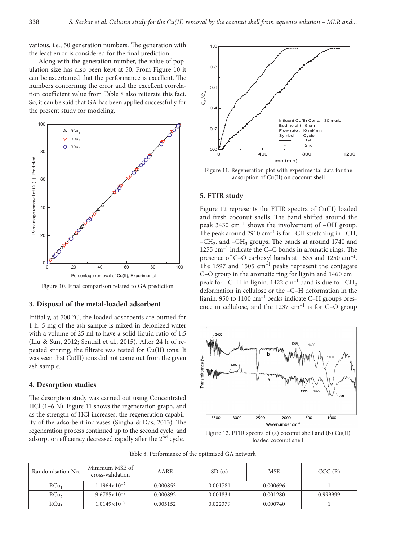various, i.e., 50 generation numbers. The generation with the least error is considered for the final prediction.

Along with the generation number, the value of population size has also been kept at 50. From Figure 10 it can be ascertained that the performance is excellent. The numbers concerning the error and the excellent correlation coefficient value from Table 8 also reiterate this fact. So, it can be said that GA has been applied successfully for the present study for modeling.



Figure 10. Final comparison related to GA prediction

### **3. Disposal of the metal-loaded adsorbent**

Initially, at 700 °C, the loaded adsorbents are burned for 1 h. 5 mg of the ash sample is mixed in deionized water with a volume of 25 ml to have a solid-liquid ratio of 1:5 (Liu & Sun, 2012; Senthil et al., 2015). After 24 h of repeated stirring, the filtrate was tested for Cu(II) ions. It was seen that Cu(II) ions did not come out from the given ash sample.

### **4. Desorption studies**

The desorption study was carried out using Concentrated HCl (1–6 N). Figure 11 shows the regeneration graph, and as the strength of HCl increases, the regeneration capability of the adsorbent increases (Singha & Das, 2013). The regeneration process continued up to the second cycle, and regeneration process continued up to the second cycle, and<br>adsorption efficiency decreased rapidly after the 2<sup>nd</sup> cycle.<br>adsorption efficiency decreased rapidly after the 2<sup>nd</sup> cycle.<br>adsorption efficiency decreased rapid



Figure 11. Regeneration plot with experimental data for the adsorption of Cu(II) on coconut shell

## **5. FTIR study**

Figure 12 represents the FTIR spectra of Cu(II) loaded and fresh coconut shells. The band shifted around the peak 3430 cm–1 shows the involvement of –OH group. The peak around 2910  $cm^{-1}$  is for -CH stretching in -CH,  $-CH<sub>2</sub>$ , and  $-CH<sub>3</sub>$  groups. The bands at around 1740 and 1255  $cm^{-1}$  indicate the C=C bonds in aromatic rings. The presence of C–O carboxyl bands at 1635 and 1250 cm–1. The 1597 and 1505  $cm^{-1}$  peaks represent the conjugate C–O group in the aromatic ring for lignin and  $1460 \text{ cm}^{-1}$ peak for  $-C-H$  in lignin. 1422 cm<sup>-1</sup> band is due to  $-CH_2$ deformation in cellulose or the –C–H deformation in the lignin. 950 to 1100 cm–1 peaks indicate C–H group's presence in cellulose, and the  $1237 \text{ cm}^{-1}$  is for C–O group



loaded coconut shell

| Table 8. Performance of the optimized GA network |  |  |
|--------------------------------------------------|--|--|
|--------------------------------------------------|--|--|

| Randomisation No. | Minimum MSE of<br>cross-validation | AARE     | $SD(\sigma)$ | MSE      | CCC(R)   |
|-------------------|------------------------------------|----------|--------------|----------|----------|
| $RCu_1$           | $1.1964\times10^{-7}$              | 0.000853 | 0.001781     | 0.000696 |          |
| RCu <sub>2</sub>  | $9.6785 \times 10^{-8}$            | 0.000892 | 0.001834     | 0.001280 | 0.999999 |
| RCu <sub>3</sub>  | $1.0149\times10^{-7}$              | 0.005152 | 0.022379     | 0.000740 |          |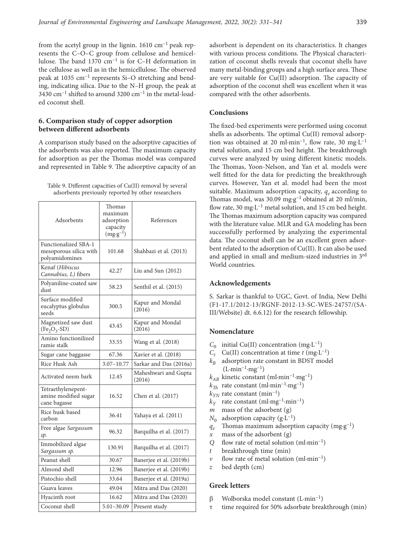from the acetyl group in the lignin.  $1610 \text{ cm}^{-1}$  peak represents the C–O–C group from cellulose and hemicellulose. The band  $1370 \text{ cm}^{-1}$  is for C-H deformation in the cellulose as well as in the hemicellulose. The observed peak at 1035 cm–1 represents Si–O stretching and bending, indicating silica. Due to the N–H group, the peak at 3430 cm<sup>-1</sup> shifted to around 3200 cm<sup>-1</sup> in the metal-loaded coconut shell.

## **6. Comparison study of copper adsorption between different adsorbents**

A comparison study based on the adsorptive capacities of the adsorbents was also reported. The maximum capacity for adsorption as per the Thomas model was compared and represented in Table 9. The adsorptive capacity of an

| Table 9. Different capacities of Cu(II) removal by several |  |
|------------------------------------------------------------|--|
| adsorbents previously reported by other researchers        |  |

| Adsorbents                                                       | Thomas<br>maximum<br>adsorption<br>capacity<br>$(mg·g-1)$ | References                     |
|------------------------------------------------------------------|-----------------------------------------------------------|--------------------------------|
| Functionalized SBA-1<br>mesoporous silica with<br>polyamidomines | 101.68                                                    | Shahbazi et al. (2013)         |
| Kenaf (Hibiscus<br>Cannabius, L) fibers                          | 42.27                                                     | Liu and Sun $(2012)$           |
| Polyaniline-coated saw<br>dust                                   | 58.23                                                     | Senthil et al. (2015)          |
| Surface modified<br>eucalyptus globulus<br>seeds                 | 300.5                                                     | Kapur and Mondal<br>(2016)     |
| Magnetized saw dust<br>$(Fe2O3-SD)$                              | 43.45                                                     | Kapur and Mondal<br>(2016)     |
| Amino functionilized<br>ramie stalk                              | 33.55                                                     | Wang et al. (2018)             |
| Sugar cane baggasse                                              | 67.36                                                     | Xavier et al. (2018)           |
| Rice Husk Ash                                                    | $3.07 - 10.77$                                            | Sarkar and Das (2016a)         |
| Activated neem bark                                              | 12.45                                                     | Maheshwari and Gupta<br>(2016) |
| Tetraethylenepent-<br>amine modified sugar<br>cane bagasse       | 16.52                                                     | Chen et al. (2017)             |
| Rice husk based<br>carbon                                        | 36.41                                                     | Yahaya et al. (2011)           |
| Free algae Sargassum<br>sp.                                      | 96.32                                                     | Barquilha et al. (2017)        |
| Immobilized algae<br>Sargassum sp.                               | 130.91                                                    | Barquilha et al. (2017)        |
| Peanut shell                                                     | 30.67                                                     | Banerjee et al. (2019b)        |
| Almond shell                                                     | 12.96                                                     | Banerjee et al. (2019b)        |
| Pistochio shell                                                  | 33.64                                                     | Banerjee et al. (2019a)        |
| Guava leaves                                                     | 49.04                                                     | Mitra and Das (2020)           |
| Hyacinth root                                                    | 16.62                                                     | Mitra and Das (2020)           |
| Coconut shell                                                    | $5.01 - 30.09$                                            | Present study                  |

adsorbent is dependent on its characteristics. It changes with various process conditions. The Physical characterization of coconut shells reveals that coconut shells have many metal-binding groups and a high surface area. These are very suitable for Cu(II) adsorption. The capacity of adsorption of the coconut shell was excellent when it was compared with the other adsorbents.

### **Conclusions**

The fixed-bed experiments were performed using coconut shells as adsorbents. The optimal Cu(II) removal adsorption was obtained at 20 ml $\cdot$ min<sup>-1</sup>, flow rate, 30 mg $\cdot$ L<sup>-1</sup> metal solution, and 15 cm bed height. The breakthrough curves were analyzed by using different kinetic models. The Thomas, Yoon-Nelson, and Yan et al. models were well fitted for the data for predicting the breakthrough curves. However, Yan et al. model had been the most suitable. Maximum adsorption capacity,  $q_e$  according to Thomas model, was 30.09 mg·g–1 obtained at 20 ml/min, flow rate, 30 mg $\cdot$ L<sup>-1</sup> metal solution, and 15 cm bed height. The Thomas maximum adsorption capacity was compared with the literature value. MLR and GA modeling has been successfully performed by analyzing the experimental data. The coconut shell can be an excellent green adsorbent related to the adsorption of Cu(II). It can also be used and applied in small and medium-sized industries in 3rd World countries.

## **Acknowledgements**

S. Sarkar is thankful to UGC, Govt. of India, New Delhi (F1-17.1/2012-13/RGNF-2012-13-SC-WES-24757/(SA-III/Website) dt. 6.6.12) for the research fellowship.

### **Nomenclature**

- $C_0$  initial Cu(II) concentration (mg·L<sup>-1</sup>)
- $C_t$  Cu(II) concentration at time *t* (mg·L<sup>-1</sup>)
- $k_B$  adsorption rate constant in BDST model  $(L·min<sup>-1</sup>·mg<sup>-1</sup>)$
- $k_{AB}$  kinetic constant (ml·min<sup>-1</sup>·mg<sup>-1</sup>)
- $k_{Th}$  rate constant (ml·min<sup>-1</sup>·mg<sup>-1</sup>)
- $k_{YN}$  rate constant (min<sup>-1</sup>)
- $k_y$  rate constant (ml·mg<sup>-1</sup>·min<sup>-1</sup>)
- *m* mass of the adsorbent (g)
- $N_0$  adsorption capacity (g·L<sup>-1</sup>)
- *qe* Thomas maximum adsorption capacity (mg·g–1)
- *x* mass of the adsorbent (g)
- *Q* flow rate of metal solution (ml·min–1)
- *t* breakthrough time (min)
- flow rate of metal solution  $(ml·min^{-1})$
- *z* bed depth (cm)

### **Greek letters**

- β Wolborska model constant (L·min–1)
- τ time required for 50% adsorbate breakthrough (min)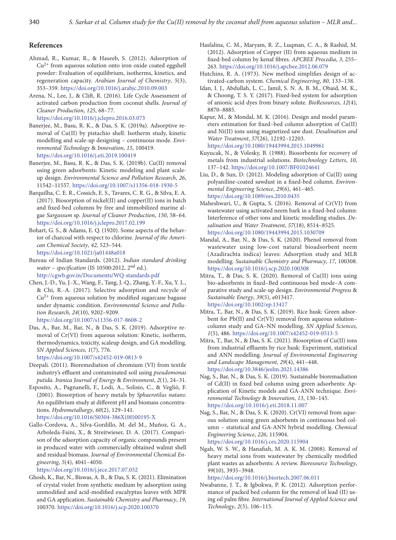## **References**

- Ahmad, R., Kumar, R., & Haseeb, S. (2012). Adsorption of  $Cu<sup>2+</sup>$  from aqueous solution onto iron oxide coated eggshell powder: Evaluation of equilibrium, isotherms, kinetics, and regeneration capacity. *Arabian Journal of Chemistry*, *5*(3), 353–359. <https://doi.org/10.1016/j.arabjc.2010.09.003>
- Arena, N., Lee, J., & Clift, R. (2016). Life Cycle Assessment of activated carbon production from coconut shells. *Journal of Cleaner Production*, *125*, 68–77.

<https://doi.org/10.1016/j.jclepro.2016.03.073>

- Banerjee, M., Basu, R. K., & Das, S. K. (2019a). Adsorptive removal of Cu(II) by pistachio shell: Isotherm study, kinetic modelling and scale-up designing – continuous mode. *[Envi](https://www.sciencedirect.com/journal/environmental-technology-and-innovation)[ronmental Technology](https://www.sciencedirect.com/journal/environmental-technology-and-innovation)* & *Innovation*, *15*, 100419. <https://doi.org/10.1016/j.eti.2019.100419>
- Banerjee, M., Basu, R. K., & Das, S. K. (2019b). Cu(II) removal using green adsorbents: Kinetic modeling and plant scaleup design. *[Environmental Science and Pollution Research](https://link.springer.com/journal/11356)*, *26*, 11542–11557. <https://doi.org/10.1007/s11356-018-1930-5>
- Barquilha, C. E. R., Cossich, E. S., Tavares, C. R. G., & Silva, E. A. (2017). Biosorption of nickel(II) and copper(II) ions in batch and fixed-bed columns by free and immobilized marine algae *Sargassum* sp. *[Journal of Cleaner Production](https://www.sciencedirect.com/journal/journal-of-cleaner-production)*, *150*, 58–64. <https://doi.org/10.1016/j.jclepro.2017.02.199>
- Bohart, G. S., & Adams, E. Q. (1920). Some aspects of the behavior of charcoal with respect to chlorine. *Journal of the American Chemical Society*, *42*, 523–544. <https://doi.org/10.1021/ja01448a018>
- Bureau of Indian Standards. (2012). *Indian standard drinking water* – *specification* (IS 10500:2012, 2nd ed.). <http://cgwb.gov.in/Documents/WQ-standards.pdf>
- Chen, J.-D., Yu, J.-X., Wang, F., Tang, J.-Q., Zhang, Y.-F., Xu, Y. L., & Chi, R.-A. (2017). Selective adsorption and recycle of  $Cu<sup>2+</sup>$  from aqueous solution by modified sugarcane bagasse under dynamic condition. *Environmental Science and Pollution Research*, *24*(10), 9202–9209. <https://doi.org/10.1007/s11356-017-8608-2>
- Das, A., Bar, M., Bar, N., & Das, S. K. (2019). Adsorptive removal of Cr(VI) from aqueous solution: Kinetic, isotherm, thermodynamics, toxicity, scaleup design, and GA modelling. *SN Applied Sciences*, *1*(7), 776.

<https://doi.org/10.1007/s42452-019-0813-9>

- Deepali. (2011). Bioremediation of chromium (VI) from textile industry's effluent and contaminated soil using *pseudomonas putida*. *Iranica Journal of Energy* & *Environment*, *2*(1), 24–31.
- Esposito, A., Pagnanelli, F., Lodi, A., Solisio, C., & Vegliò, F. (2001). Biosorption of heavy metals by *Sphaerotilus natans*: An equilibrium study at different pH and biomass concentrations. *Hydrometallurgy*, *60*(2), 129–141.

[https://doi.org/10.1016/S0304-386X\(00\)00195-X](https://doi.org/10.1016/S0304-386X(00)00195-X)

[Gallo-Cordova, A., Silva-Gordillo, M. del M., Muñoz, G. A.,](https://www.sciencedirect.com/science/article/pii/S2213343717303561?via%3Dihub)  [Arboleda-Faini, X.,](https://www.sciencedirect.com/science/article/pii/S2213343717303561?via%3Dihub) & Streitwieser, D. A. (2017). Comparison of the adsorption capacity of organic compounds present in produced water with commercially obtained walnut shell and residual biomass. *Journal of Environmental Chemical Engineering*, *5*(4), 4041–4050.

<https://doi.org/10.1016/j.jece.2017.07.052>

Ghosh, K., Bar, N., Biswas, A. B., & Das, S. K. (2021). Elimination of crystal violet from synthetic medium by adsorption using unmodified and acid-modified eucalyptus leaves with MPR and GA application. *Sustainable Chemistry and Pharmacy*, *19*, 100370. <https://doi.org/10.1016/j.scp.2020.100370>

- Hasfalina, C. M., Maryam, R. Z., Luqman, C. A., & Rashid, M. (2012). Adsorption of Copper (II) from aqueous medium in fixed-bed column by kenaf fibres. *APCBEE Procedia*, *3*, 255– 263. <https://doi.org/10.1016/j.apcbee.2012.06.079>
- Hutchins, R. A. (1973). New method simplifies design of activated-carbon system. *Chemical Engineering*, *80*, 133–138.
- Idan, I. J., Abdullah, L. C., Jamil, S. N. A. B. M., Obaid, M. K., & Choong, T. S. Y. (2017). Fixed-bed system for adsorption of anionic acid dyes from binary solute. *BioResources*, *12*(4), 8870–8885.
- Kapur, M., & Mondal, M. K. (2016). Design and model parameters estimation for fixed–bed column adsorption of Cu(II) and Ni(II) ions using magnetized saw dust. *Desalination and Water Treatment*, *57*(26), 12192–12203. <https://doi.org/10.1080/19443994.2015.1049961>
- Kuyucak, N., & Volesky, B. (1988). Biosorbents for recovery of metals from industrial solutions. *Biotechnology Letters*, *10*, 137–142. <https://doi.org/10.1007/BF01024641>
- Liu, D., & Sun, D. (2012). [Modeling adsorption of Cu\(II\) using](https://www.liebertpub.com/doi/full/10.1089/ees.2010.0435) [polyaniline-coated sawdust in a fixed-bed column](https://www.liebertpub.com/doi/full/10.1089/ees.2010.0435). *Environmental Engineering Science*, *29*(6), 461–465. <https://doi.org/10.1089/ees.2010.0435>
- Maheshwari, U., & Gupta, S. (2016). Removal of Cr(VI) from wastewater using activated neem bark in a fixed-bed column: Interference of other ions and kinetic modelling studies. *Desalination and Water Treatment*, *57*(18), 8514–8525. <https://doi.org/10.1080/19443994.2015.1030709>
- Mandal, A., Bar, N., & Das, S. K. (2020). Phenol removal from wastewater using low-cost natural bioadsorbent neem (Azadirachta indica) leaves: Adsorption study and MLR modelling. *Sustainable Chemistry and Pharmacy*, *17*, 100308. <https://doi.org/10.1016/j.scp.2020.100308>
- Mitra, T., & Das, S. K. (2020). Removal of Cu(II) ions using bio-adsorbents in fixed–Bed continuous bed mode–A comparative study and scale-up design. *[Environmental Progress](https://aiche.onlinelibrary.wiley.com/journal/19447450)* & *[Sustainable Energy](https://aiche.onlinelibrary.wiley.com/journal/19447450)*, *39*(5), e013417. <https://doi.org/10.1002/ep.13417>
- Mitra, T., Bar, N., & Das, S. K. (2019). Rice husk: Green adsorbent for Pb(II) and Cr(VI) removal from aqueous solution– column study and GA–NN modelling. *SN Applied Sciences*, *1*(5), 486. <https://doi.org/10.1007/s42452-019-0513-5>
- Mitra, T., Bar, N., & Das, S. K. (2021). Biosorption of Cu(II) ions from industrial effluents by rice husk: Experiment, statistical and ANN modelling. *Journal of Environmental Engineering and Landscape Management*, *29*(4), 441–448. <https://doi.org/10.3846/jeelm.2021.14386>
- Nag, S., Bar, N., & Das, S. K. (2019). Sustainable bioremadiation of Cd(II) in fixed bed column using green adsorbents: Application of Kinetic models and GA-ANN technique. *Environmental Technology* & *Innovation*, *13*, 130–145. <https://doi.org/10.1016/j.eti.2018.11.007>
- Nag, S., Bar, N., & Das, S. K. (2020). Cr(VI) removal from aqueous solution using green adsorbents in continuous bed column – statistical and GA-ANN hybrid modelling. *Chemical Engineering Science*, *226*, 115904.

<https://doi.org/10.1016/j.ces.2020.115904>

Ngah, W. S. W., & Hanafiah, M. A. K. M. (2008). Removal of heavy metal ions from wastewater by chemically modified plant wastes as adsorbents: A review. *Bioresource Technology*, *99*(10), 3935–3948.

<https://doi.org/10.1016/j.biortech.2007.06.011>

Nwabanne, J. T., & Igbokwa, P. K. (2012). Adsorption performance of packed bed column for the removal of lead (II) using oil palm fibre. *International Journal of Applied Science and Technology*, *2*(5), 106–115.